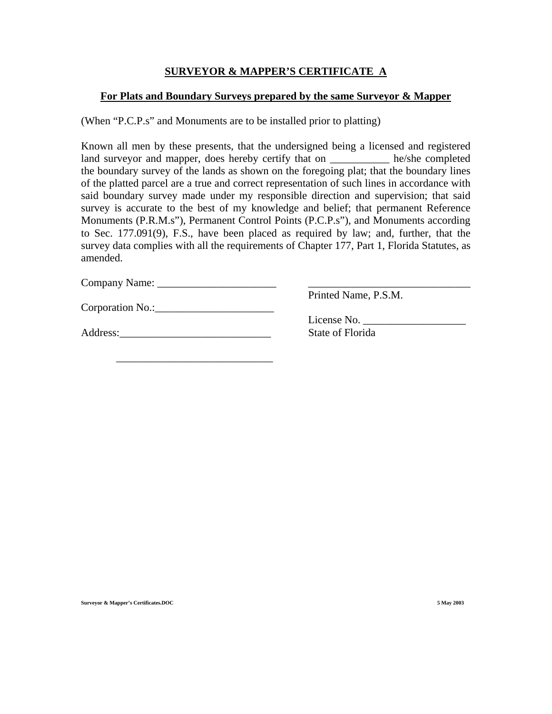### **SURVEYOR & MAPPER'S CERTIFICATE A**

#### **For Plats and Boundary Surveys prepared by the same Surveyor & Mapper**

(When "P.C.P.s" and Monuments are to be installed prior to platting)

Known all men by these presents, that the undersigned being a licensed and registered land surveyor and mapper, does hereby certify that on \_\_\_\_\_\_\_\_\_\_\_\_ he/she completed the boundary survey of the lands as shown on the foregoing plat; that the boundary lines of the platted parcel are a true and correct representation of such lines in accordance with said boundary survey made under my responsible direction and supervision; that said survey is accurate to the best of my knowledge and belief; that permanent Reference Monuments (P.R.M.s"), Permanent Control Points (P.C.P.s"), and Monuments according to Sec. 177.091(9), F.S., have been placed as required by law; and, further, that the survey data complies with all the requirements of Chapter 177, Part 1, Florida Statutes, as amended.

Company Name: \_\_\_\_\_\_\_\_\_\_\_\_\_\_\_\_\_\_\_\_\_\_ \_\_\_\_\_\_\_\_\_\_\_\_\_\_\_\_\_\_\_\_\_\_\_\_\_\_\_\_\_\_

Corporation No.:\_\_\_\_\_\_\_\_\_\_\_\_\_\_\_\_\_\_\_\_\_\_

Address: State of Florida

 $\overline{\phantom{a}}$  ,  $\overline{\phantom{a}}$  ,  $\overline{\phantom{a}}$  ,  $\overline{\phantom{a}}$  ,  $\overline{\phantom{a}}$  ,  $\overline{\phantom{a}}$  ,  $\overline{\phantom{a}}$  ,  $\overline{\phantom{a}}$  ,  $\overline{\phantom{a}}$  ,  $\overline{\phantom{a}}$  ,  $\overline{\phantom{a}}$  ,  $\overline{\phantom{a}}$  ,  $\overline{\phantom{a}}$  ,  $\overline{\phantom{a}}$  ,  $\overline{\phantom{a}}$  ,  $\overline{\phantom{a}}$ 

Printed Name, P.S.M.

License No.

**Surveyor & Mapper's Certificates.DOC 5 May 2003**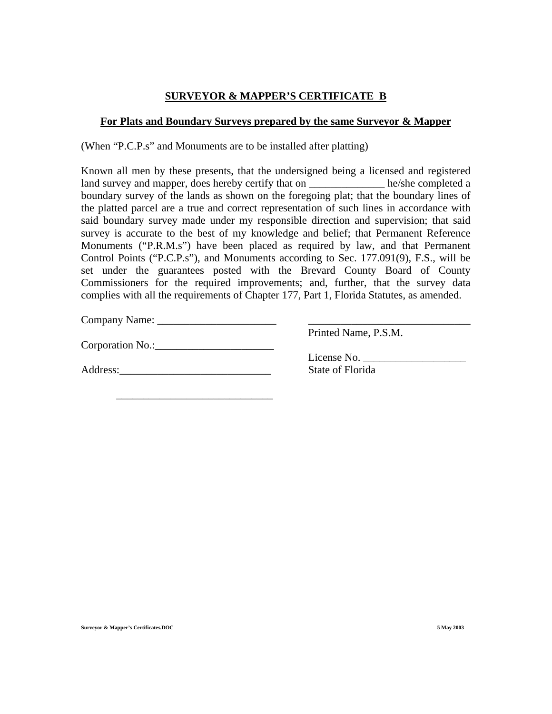## **SURVEYOR & MAPPER'S CERTIFICATE B**

#### **For Plats and Boundary Surveys prepared by the same Surveyor & Mapper**

(When "P.C.P.s" and Monuments are to be installed after platting)

Known all men by these presents, that the undersigned being a licensed and registered land survey and mapper, does hereby certify that on he/she completed a boundary survey of the lands as shown on the foregoing plat; that the boundary lines of the platted parcel are a true and correct representation of such lines in accordance with said boundary survey made under my responsible direction and supervision; that said survey is accurate to the best of my knowledge and belief; that Permanent Reference Monuments ("P.R.M.s") have been placed as required by law, and that Permanent Control Points ("P.C.P.s"), and Monuments according to Sec. 177.091(9), F.S., will be set under the guarantees posted with the Brevard County Board of County Commissioners for the required improvements; and, further, that the survey data complies with all the requirements of Chapter 177, Part 1, Florida Statutes, as amended.

Company Name: \_\_\_\_\_\_\_\_\_\_\_\_\_\_\_\_\_\_\_\_\_\_ \_\_\_\_\_\_\_\_\_\_\_\_\_\_\_\_\_\_\_\_\_\_\_\_\_\_\_\_\_\_

Corporation No.:\_\_\_\_\_\_\_\_\_\_\_\_\_\_\_\_\_\_\_\_\_\_

Address: State of Florida

 $\overline{\phantom{a}}$  ,  $\overline{\phantom{a}}$  ,  $\overline{\phantom{a}}$  ,  $\overline{\phantom{a}}$  ,  $\overline{\phantom{a}}$  ,  $\overline{\phantom{a}}$  ,  $\overline{\phantom{a}}$  ,  $\overline{\phantom{a}}$  ,  $\overline{\phantom{a}}$  ,  $\overline{\phantom{a}}$  ,  $\overline{\phantom{a}}$  ,  $\overline{\phantom{a}}$  ,  $\overline{\phantom{a}}$  ,  $\overline{\phantom{a}}$  ,  $\overline{\phantom{a}}$  ,  $\overline{\phantom{a}}$ 

Printed Name, P.S.M.

License No.